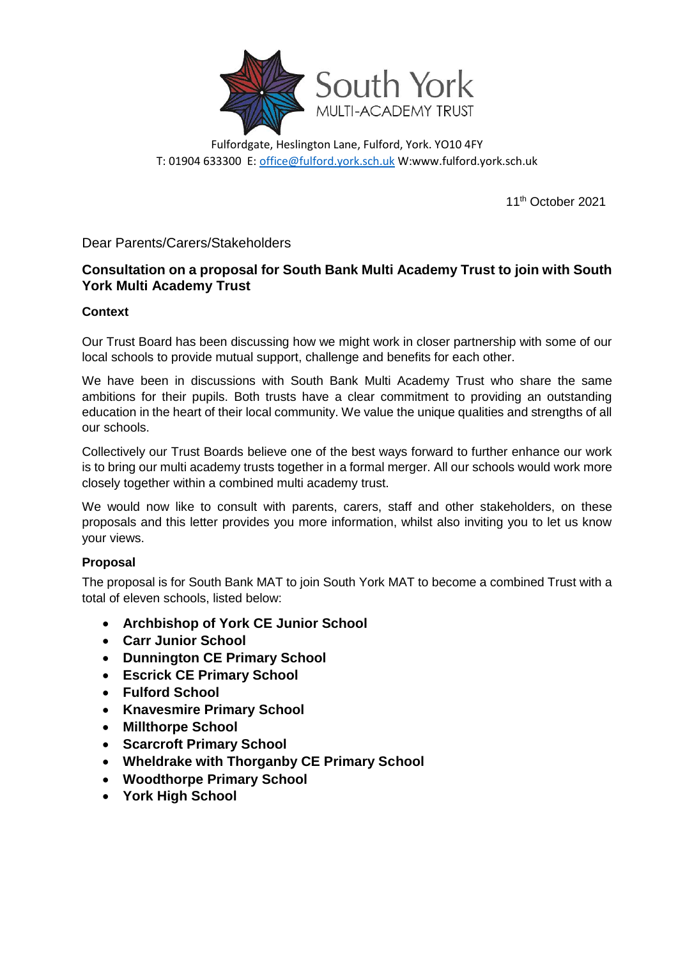

Fulfordgate, Heslington Lane, Fulford, York. YO10 4FY T: 01904 633300 E[: office@fulford.york.sch.uk](mailto:office@fulford.york.sch.uk) W:www.fulford.york.sch.uk

11th October 2021

Dear Parents/Carers/Stakeholders

# **Consultation on a proposal for South Bank Multi Academy Trust to join with South York Multi Academy Trust**

## **Context**

Our Trust Board has been discussing how we might work in closer partnership with some of our local schools to provide mutual support, challenge and benefits for each other.

We have been in discussions with South Bank Multi Academy Trust who share the same ambitions for their pupils. Both trusts have a clear commitment to providing an outstanding education in the heart of their local community. We value the unique qualities and strengths of all our schools.

Collectively our Trust Boards believe one of the best ways forward to further enhance our work is to bring our multi academy trusts together in a formal merger. All our schools would work more closely together within a combined multi academy trust.

We would now like to consult with parents, carers, staff and other stakeholders, on these proposals and this letter provides you more information, whilst also inviting you to let us know your views.

# **Proposal**

The proposal is for South Bank MAT to join South York MAT to become a combined Trust with a total of eleven schools, listed below:

- **Archbishop of York CE Junior School**
- **Carr Junior School**
- **Dunnington CE Primary School**
- **Escrick CE Primary School**
- **Fulford School**
- **Knavesmire Primary School**
- **Millthorpe School**
- **Scarcroft Primary School**
- **Wheldrake with Thorganby CE Primary School**
- **Woodthorpe Primary School**
- **York High School**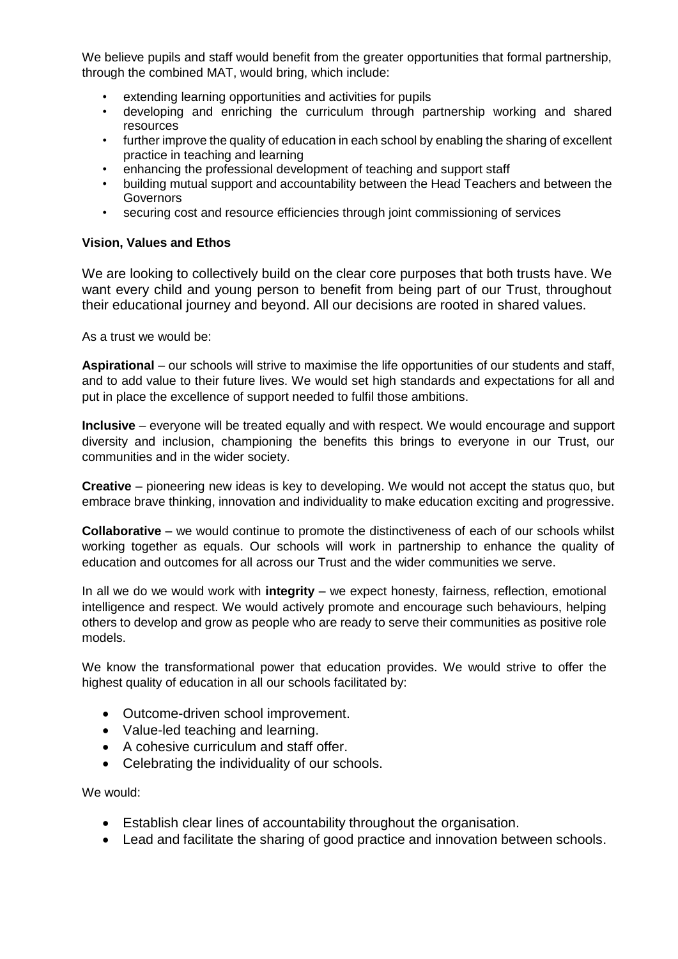We believe pupils and staff would benefit from the greater opportunities that formal partnership, through the combined MAT, would bring, which include:

- extending learning opportunities and activities for pupils
- developing and enriching the curriculum through partnership working and shared resources
- further improve the quality of education in each school by enabling the sharing of excellent practice in teaching and learning
- enhancing the professional development of teaching and support staff
- building mutual support and accountability between the Head Teachers and between the **Governors**
- securing cost and resource efficiencies through joint commissioning of services

#### **Vision, Values and Ethos**

We are looking to collectively build on the clear core purposes that both trusts have. We want every child and young person to benefit from being part of our Trust, throughout their educational journey and beyond. All our decisions are rooted in shared values.

As a trust we would be:

**Aspirational** – our schools will strive to maximise the life opportunities of our students and staff, and to add value to their future lives. We would set high standards and expectations for all and put in place the excellence of support needed to fulfil those ambitions.

**Inclusive** – everyone will be treated equally and with respect. We would encourage and support diversity and inclusion, championing the benefits this brings to everyone in our Trust, our communities and in the wider society.

**Creative** – pioneering new ideas is key to developing. We would not accept the status quo, but embrace brave thinking, innovation and individuality to make education exciting and progressive.

**Collaborative** – we would continue to promote the distinctiveness of each of our schools whilst working together as equals. Our schools will work in partnership to enhance the quality of education and outcomes for all across our Trust and the wider communities we serve.

In all we do we would work with **integrity** – we expect honesty, fairness, reflection, emotional intelligence and respect. We would actively promote and encourage such behaviours, helping others to develop and grow as people who are ready to serve their communities as positive role models.

We know the transformational power that education provides. We would strive to offer the highest quality of education in all our schools facilitated by:

- Outcome-driven school improvement.
- Value-led teaching and learning.
- A cohesive curriculum and staff offer.
- Celebrating the individuality of our schools.

We would:

- Establish clear lines of accountability throughout the organisation.
- Lead and facilitate the sharing of good practice and innovation between schools.